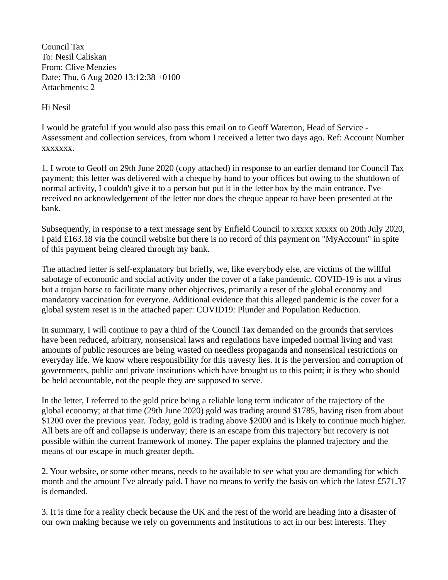Council Tax To: Nesil Caliskan From: Clive Menzies Date: Thu, 6 Aug 2020 13:12:38 +0100 Attachments: 2

Hi Nesil

I would be grateful if you would also pass this email on to Geoff Waterton, Head of Service - Assessment and collection services, from whom I received a letter two days ago. Ref: Account Number xxxxxxx.

1. I wrote to Geoff on 29th June 2020 (copy attached) in response to an earlier demand for Council Tax payment; this letter was delivered with a cheque by hand to your offices but owing to the shutdown of normal activity, I couldn't give it to a person but put it in the letter box by the main entrance. I've received no acknowledgement of the letter nor does the cheque appear to have been presented at the bank.

Subsequently, in response to a text message sent by Enfield Council to xxxxx xxxxx on 20th July 2020, I paid £163.18 via the council website but there is no record of this payment on "MyAccount" in spite of this payment being cleared through my bank.

The attached letter is self-explanatory but briefly, we, like everybody else, are victims of the willful sabotage of economic and social activity under the cover of a fake pandemic. COVID-19 is not a virus but a trojan horse to facilitate many other objectives, primarily a reset of the global economy and mandatory vaccination for everyone. Additional evidence that this alleged pandemic is the cover for a global system reset is in the attached paper: COVID19: Plunder and Population Reduction.

In summary, I will continue to pay a third of the Council Tax demanded on the grounds that services have been reduced, arbitrary, nonsensical laws and regulations have impeded normal living and vast amounts of public resources are being wasted on needless propaganda and nonsensical restrictions on everyday life. We know where responsibility for this travesty lies. It is the perversion and corruption of governments, public and private institutions which have brought us to this point; it is they who should be held accountable, not the people they are supposed to serve.

In the letter, I referred to the gold price being a reliable long term indicator of the trajectory of the global economy; at that time (29th June 2020) gold was trading around \$1785, having risen from about \$1200 over the previous year. Today, gold is trading above \$2000 and is likely to continue much higher. All bets are off and collapse is underway; there is an escape from this trajectory but recovery is not possible within the current framework of money. The paper explains the planned trajectory and the means of our escape in much greater depth.

2. Your website, or some other means, needs to be available to see what you are demanding for which month and the amount I've already paid. I have no means to verify the basis on which the latest £571.37 is demanded.

3. It is time for a reality check because the UK and the rest of the world are heading into a disaster of our own making because we rely on governments and institutions to act in our best interests. They